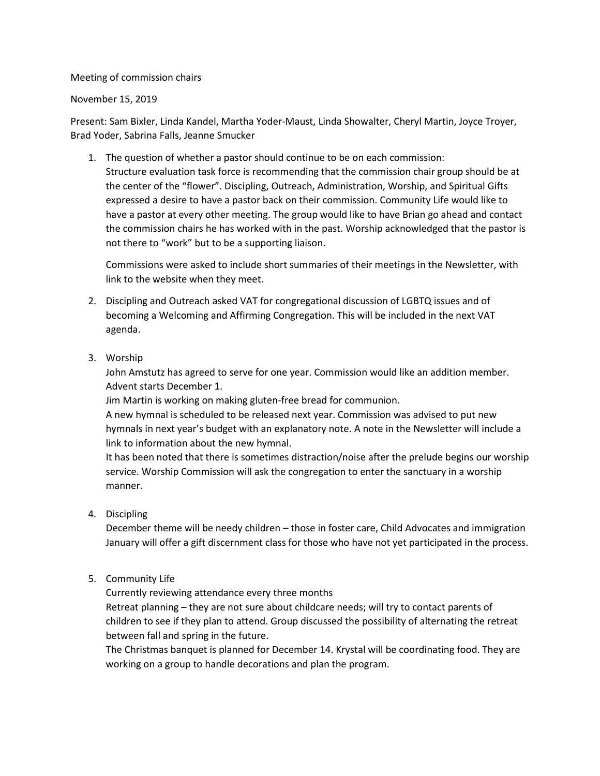Meeting of commission chairs

## November 15, 2019

Present: Sam Bixler, Linda Kandel, Martha Yoder-Maust, Linda Showalter, Cheryl Martin, Joyce Troyer, Brad Yoder, Sabrina Falls, Jeanne Smucker

1. The question of whether a pastor should continue to be on each commission: Structure evaluation task force is recommending that the commission chair group should be at the center of the "flower". Discipling, Outreach, Administration, Worship, and Spiritual Gifts expressed a desire to have a pastor back on their commission. Community Life would like to have a pastor at every other meeting. The group would like to have Brian go ahead and contact the commission chairs he has worked with in the past. Worship acknowledged that the pastor is not there to "work" but to be a supporting liaison.

Commissions were asked to include short summaries of their meetings in the Newsletter, with link to the website when they meet.

- 2. Discipling and Outreach asked VAT for congregational discussion of LGBTQ issues and of becoming a Welcoming and Affirming Congregation. This will be included in the next VAT agenda.
- 3. Worship

John Amstutz has agreed to serve for one year. Commission would like an addition member. Advent starts December 1.

Jim Martin is working on making gluten-free bread for communion.

A new hymnal is scheduled to be released next year. Commission was advised to put new hymnals in next year's budget with an explanatory note. A note in the Newsletter will include a link to information about the new hymnal.

It has been noted that there is sometimes distraction/noise after the prelude begins our worship service. Worship Commission will ask the congregation to enter the sanctuary in a worship manner.

4. Discipling

December theme will be needy children – those in foster care, Child Advocates and immigration January will offer a gift discernment class for those who have not yet participated in the process.

5. Community Life

Currently reviewing attendance every three months Retreat planning – they are not sure about childcare needs; will try to contact parents of children to see if they plan to attend. Group discussed the possibility of alternating the retreat

between fall and spring in the future.

The Christmas banquet is planned for December 14. Krystal will be coordinating food. They are working on a group to handle decorations and plan the program.